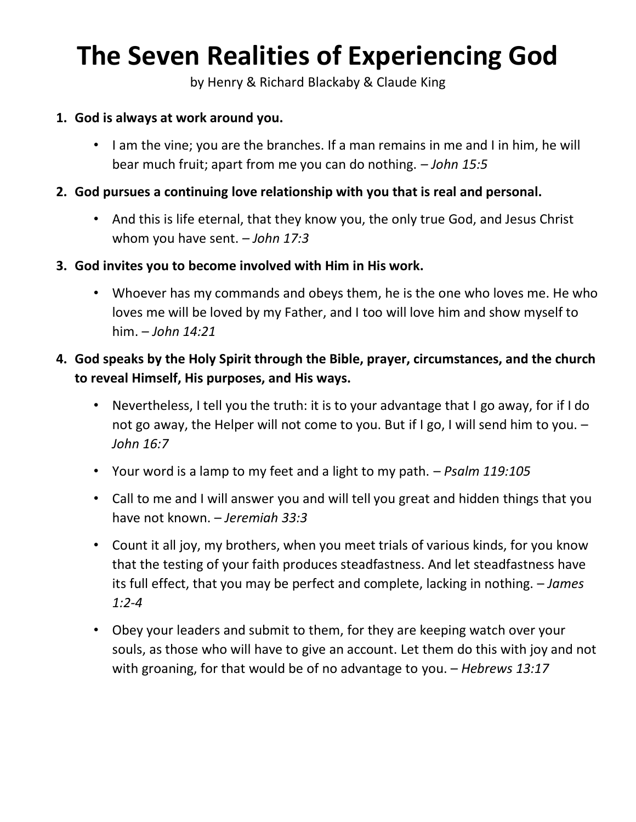# **The Seven Realities of Experiencing God**

by Henry & Richard Blackaby & Claude King

#### **1. God is always at work around you.**

- I am the vine; you are the branches. If a man remains in me and I in him, he will bear much fruit; apart from me you can do nothing. *– John 15:5*
- **2. God pursues a continuing love relationship with you that is real and personal.**
	- And this is life eternal, that they know you, the only true God, and Jesus Christ whom you have sent. *– John 17:3*
- **3. God invites you to become involved with Him in His work.**
	- Whoever has my commands and obeys them, he is the one who loves me. He who loves me will be loved by my Father, and I too will love him and show myself to him. – *John 14:21*

## **4. God speaks by the Holy Spirit through the Bible, prayer, circumstances, and the church to reveal Himself, His purposes, and His ways.**

- Nevertheless, I tell you the truth: it is to your advantage that I go away, for if I do not go away, the Helper will not come to you. But if I go, I will send him to you. – *John 16:7*
- Your word is a lamp to my feet and a light to my path. *Psalm 119:105*
- Call to me and I will answer you and will tell you great and hidden things that you have not known. – *Jeremiah 33:3*
- Count it all joy, my brothers, when you meet trials of various kinds, for you know that the testing of your faith produces steadfastness. And let steadfastness have its full effect, that you may be perfect and complete, lacking in nothing. – *James 1:2-4*
- Obey your leaders and submit to them, for they are keeping watch over your souls, as those who will have to give an account. Let them do this with joy and not with groaning, for that would be of no advantage to you. – *Hebrews 13:17*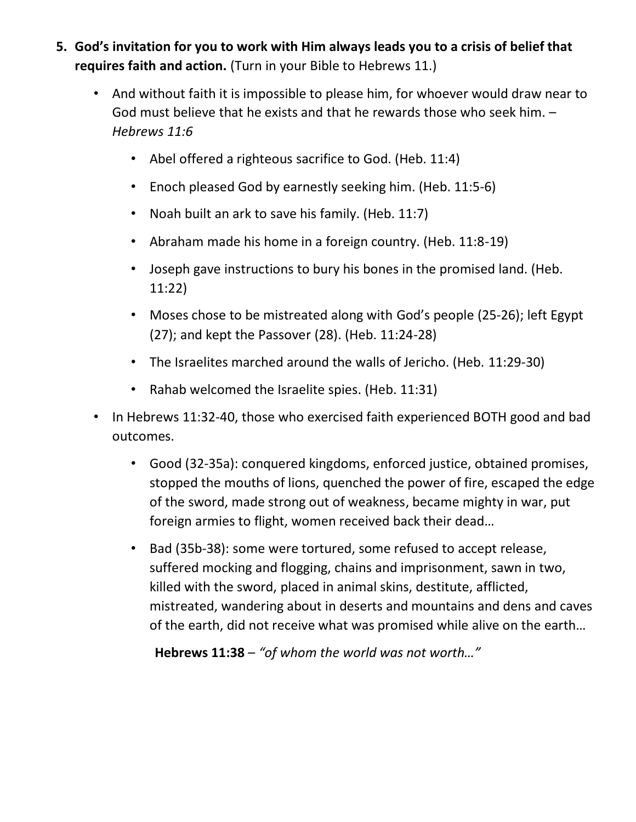- **5. God's invitation for you to work with Him always leads you to a crisis of belief that requires faith and action.** (Turn in your Bible to Hebrews 11.)
	- And without faith it is impossible to please him, for whoever would draw near to God must believe that he exists and that he rewards those who seek him. – *Hebrews 11:6*
		- Abel offered a righteous sacrifice to God. (Heb. 11:4)
		- Enoch pleased God by earnestly seeking him. (Heb. 11:5-6)
		- Noah built an ark to save his family. (Heb. 11:7)
		- Abraham made his home in a foreign country. (Heb. 11:8-19)
		- Joseph gave instructions to bury his bones in the promised land. (Heb. 11:22)
		- Moses chose to be mistreated along with God's people (25-26); left Egypt (27); and kept the Passover (28). (Heb. 11:24-28)
		- The Israelites marched around the walls of Jericho. (Heb. 11:29-30)
		- Rahab welcomed the Israelite spies. (Heb. 11:31)
	- In Hebrews 11:32-40, those who exercised faith experienced BOTH good and bad outcomes.
		- Good (32-35a): conquered kingdoms, enforced justice, obtained promises, stopped the mouths of lions, quenched the power of fire, escaped the edge of the sword, made strong out of weakness, became mighty in war, put foreign armies to flight, women received back their dead…
		- Bad (35b-38): some were tortured, some refused to accept release, suffered mocking and flogging, chains and imprisonment, sawn in two, killed with the sword, placed in animal skins, destitute, afflicted, mistreated, wandering about in deserts and mountains and dens and caves of the earth, did not receive what was promised while alive on the earth…

**Hebrews 11:38** – *"of whom the world was not worth…"*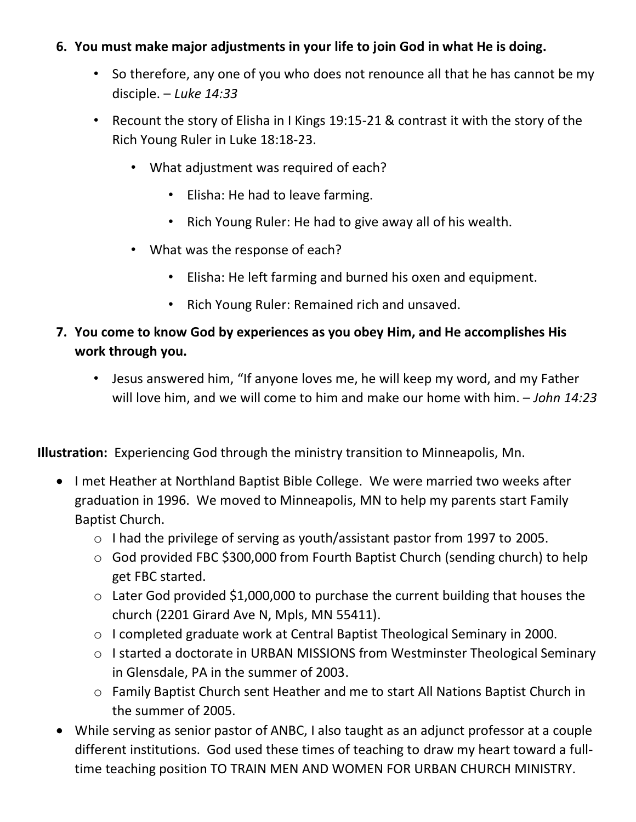## **6. You must make major adjustments in your life to join God in what He is doing.**

- So therefore, any one of you who does not renounce all that he has cannot be my disciple. – *Luke 14:33*
- Recount the story of Elisha in I Kings 19:15-21 & contrast it with the story of the Rich Young Ruler in Luke 18:18-23.
	- What adjustment was required of each?
		- Elisha: He had to leave farming.
		- Rich Young Ruler: He had to give away all of his wealth.
	- What was the response of each?
		- Elisha: He left farming and burned his oxen and equipment.
		- Rich Young Ruler: Remained rich and unsaved.
- **7. You come to know God by experiences as you obey Him, and He accomplishes His work through you.**
	- Jesus answered him, "If anyone loves me, he will keep my word, and my Father will love him, and we will come to him and make our home with him. – *John 14:23*

**Illustration:** Experiencing God through the ministry transition to Minneapolis, Mn.

- I met Heather at Northland Baptist Bible College. We were married two weeks after graduation in 1996. We moved to Minneapolis, MN to help my parents start Family Baptist Church.
	- o I had the privilege of serving as youth/assistant pastor from 1997 to 2005.
	- o God provided FBC \$300,000 from Fourth Baptist Church (sending church) to help get FBC started.
	- o Later God provided \$1,000,000 to purchase the current building that houses the church (2201 Girard Ave N, Mpls, MN 55411).
	- o I completed graduate work at Central Baptist Theological Seminary in 2000.
	- o I started a doctorate in URBAN MISSIONS from Westminster Theological Seminary in Glensdale, PA in the summer of 2003.
	- o Family Baptist Church sent Heather and me to start All Nations Baptist Church in the summer of 2005.
- While serving as senior pastor of ANBC, I also taught as an adjunct professor at a couple different institutions. God used these times of teaching to draw my heart toward a fulltime teaching position TO TRAIN MEN AND WOMEN FOR URBAN CHURCH MINISTRY.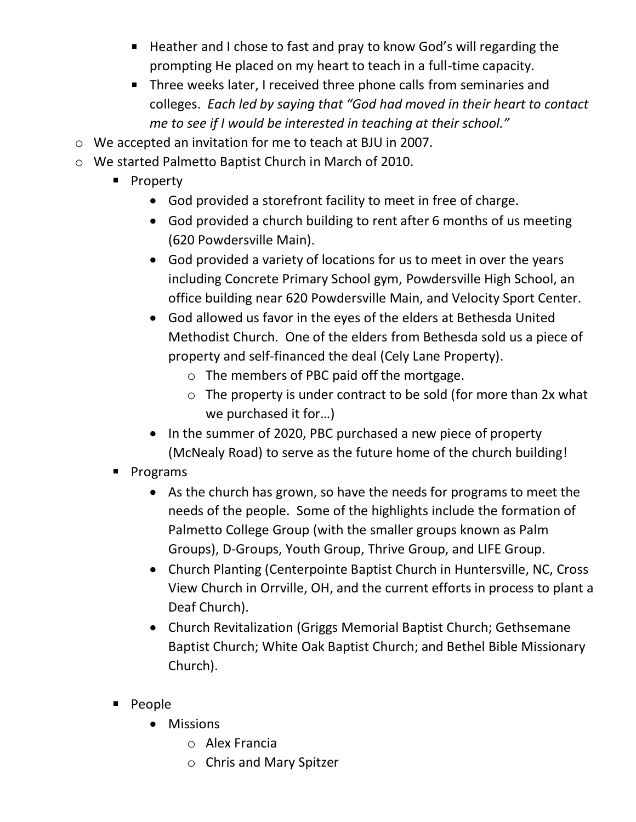- Heather and I chose to fast and pray to know God's will regarding the prompting He placed on my heart to teach in a full-time capacity.
- **Three weeks later, I received three phone calls from seminaries and** colleges. *Each led by saying that "God had moved in their heart to contact me to see if I would be interested in teaching at their school."*
- o We accepted an invitation for me to teach at BJU in 2007.
- o We started Palmetto Baptist Church in March of 2010.
	- **Property** 
		- God provided a storefront facility to meet in free of charge.
		- God provided a church building to rent after 6 months of us meeting (620 Powdersville Main).
		- God provided a variety of locations for us to meet in over the years including Concrete Primary School gym, Powdersville High School, an office building near 620 Powdersville Main, and Velocity Sport Center.
		- God allowed us favor in the eyes of the elders at Bethesda United Methodist Church. One of the elders from Bethesda sold us a piece of property and self-financed the deal (Cely Lane Property).
			- o The members of PBC paid off the mortgage.
			- o The property is under contract to be sold (for more than 2x what we purchased it for…)
		- In the summer of 2020, PBC purchased a new piece of property (McNealy Road) to serve as the future home of the church building!
	- **Programs** 
		- As the church has grown, so have the needs for programs to meet the needs of the people. Some of the highlights include the formation of Palmetto College Group (with the smaller groups known as Palm Groups), D-Groups, Youth Group, Thrive Group, and LIFE Group.
		- Church Planting (Centerpointe Baptist Church in Huntersville, NC, Cross View Church in Orrville, OH, and the current efforts in process to plant a Deaf Church).
		- Church Revitalization (Griggs Memorial Baptist Church; Gethsemane Baptist Church; White Oak Baptist Church; and Bethel Bible Missionary Church).
	- **People** 
		- Missions
			- o Alex Francia
			- o Chris and Mary Spitzer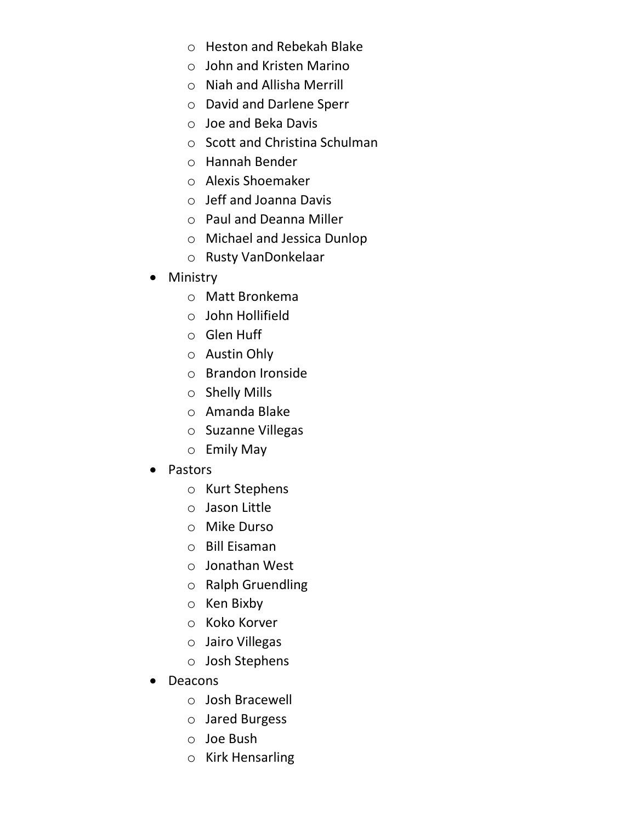- o Heston and Rebekah Blake
- o John and Kristen Marino
- o Niah and Allisha Merrill
- o David and Darlene Sperr
- o Joe and Beka Davis
- o Scott and Christina Schulman
- o Hannah Bender
- o Alexis Shoemaker
- o Jeff and Joanna Davis
- o Paul and Deanna Miller
- o Michael and Jessica Dunlop
- o Rusty VanDonkelaar
- Ministry
	- o Matt Bronkema
	- o John Hollifield
	- o Glen Huff
	- o Austin Ohly
	- o Brandon Ironside
	- o Shelly Mills
	- o Amanda Blake
	- o Suzanne Villegas
	- o Emily May
- Pastors
	- o Kurt Stephens
	- o Jason Little
	- o Mike Durso
	- o Bill Eisaman
	- o Jonathan West
	- o Ralph Gruendling
	- o Ken Bixby
	- o Koko Korver
	- o Jairo Villegas
	- o Josh Stephens
- Deacons
	- o Josh Bracewell
	- o Jared Burgess
	- o Joe Bush
	- o Kirk Hensarling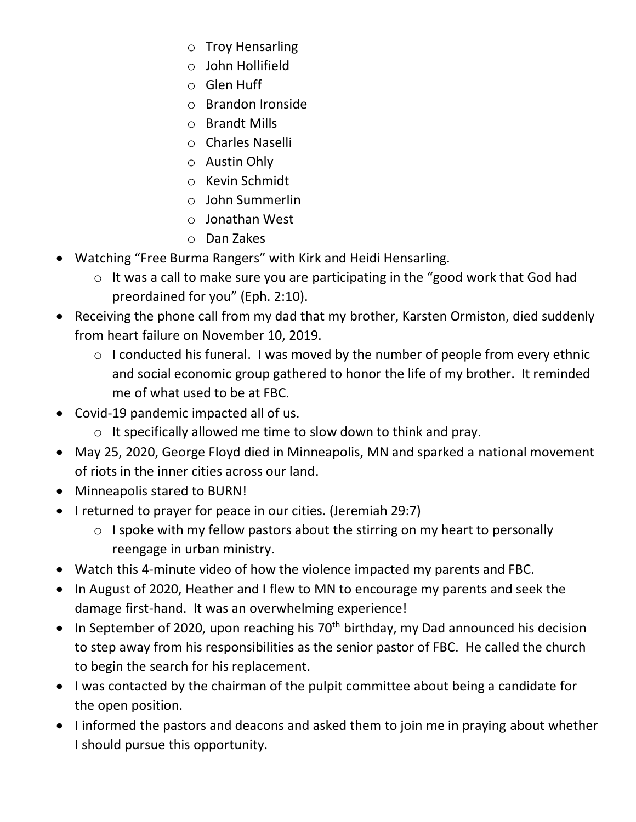- o Troy Hensarling
- o John Hollifield
- o Glen Huff
- o Brandon Ironside
- o Brandt Mills
- o Charles Naselli
- o Austin Ohly
- o Kevin Schmidt
- o John Summerlin
- o Jonathan West
- o Dan Zakes
- Watching "Free Burma Rangers" with Kirk and Heidi Hensarling.
	- o It was a call to make sure you are participating in the "good work that God had preordained for you" (Eph. 2:10).
- Receiving the phone call from my dad that my brother, Karsten Ormiston, died suddenly from heart failure on November 10, 2019.
	- o I conducted his funeral. I was moved by the number of people from every ethnic and social economic group gathered to honor the life of my brother. It reminded me of what used to be at FBC.
- Covid-19 pandemic impacted all of us.
	- o It specifically allowed me time to slow down to think and pray.
- May 25, 2020, George Floyd died in Minneapolis, MN and sparked a national movement of riots in the inner cities across our land.
- Minneapolis stared to BURN!
- I returned to prayer for peace in our cities. (Jeremiah 29:7)
	- o I spoke with my fellow pastors about the stirring on my heart to personally reengage in urban ministry.
- Watch this 4-minute video of how the violence impacted my parents and FBC.
- In August of 2020, Heather and I flew to MN to encourage my parents and seek the damage first-hand. It was an overwhelming experience!
- In September of 2020, upon reaching his  $70<sup>th</sup>$  birthday, my Dad announced his decision to step away from his responsibilities as the senior pastor of FBC. He called the church to begin the search for his replacement.
- I was contacted by the chairman of the pulpit committee about being a candidate for the open position.
- I informed the pastors and deacons and asked them to join me in praying about whether I should pursue this opportunity.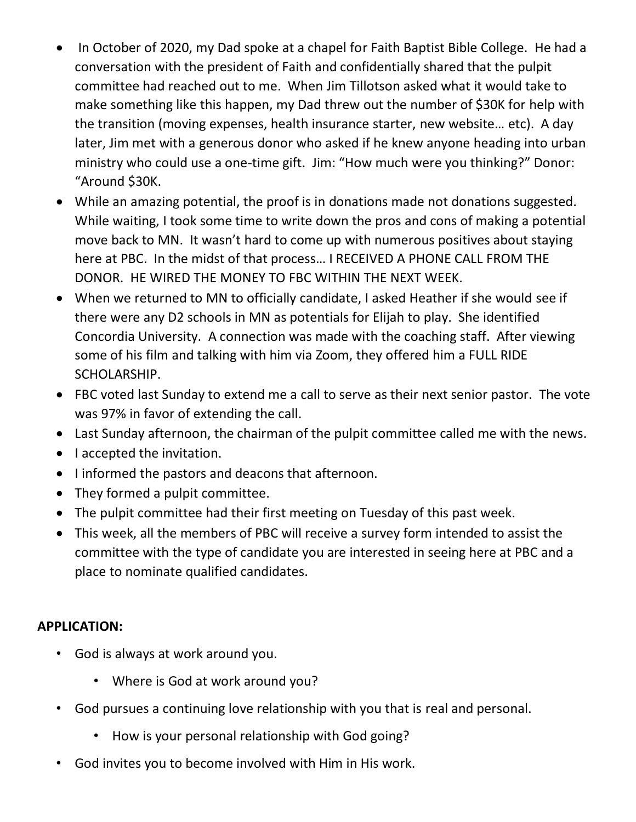- In October of 2020, my Dad spoke at a chapel for Faith Baptist Bible College. He had a conversation with the president of Faith and confidentially shared that the pulpit committee had reached out to me. When Jim Tillotson asked what it would take to make something like this happen, my Dad threw out the number of \$30K for help with the transition (moving expenses, health insurance starter, new website… etc). A day later, Jim met with a generous donor who asked if he knew anyone heading into urban ministry who could use a one-time gift. Jim: "How much were you thinking?" Donor: "Around \$30K.
- While an amazing potential, the proof is in donations made not donations suggested. While waiting, I took some time to write down the pros and cons of making a potential move back to MN. It wasn't hard to come up with numerous positives about staying here at PBC. In the midst of that process… I RECEIVED A PHONE CALL FROM THE DONOR. HE WIRED THE MONEY TO FBC WITHIN THE NEXT WEEK.
- When we returned to MN to officially candidate, I asked Heather if she would see if there were any D2 schools in MN as potentials for Elijah to play. She identified Concordia University. A connection was made with the coaching staff. After viewing some of his film and talking with him via Zoom, they offered him a FULL RIDE SCHOLARSHIP.
- FBC voted last Sunday to extend me a call to serve as their next senior pastor. The vote was 97% in favor of extending the call.
- Last Sunday afternoon, the chairman of the pulpit committee called me with the news.
- I accepted the invitation.
- I informed the pastors and deacons that afternoon.
- They formed a pulpit committee.
- The pulpit committee had their first meeting on Tuesday of this past week.
- This week, all the members of PBC will receive a survey form intended to assist the committee with the type of candidate you are interested in seeing here at PBC and a place to nominate qualified candidates.

## **APPLICATION:**

- God is always at work around you.
	- Where is God at work around you?
- God pursues a continuing love relationship with you that is real and personal.
	- How is your personal relationship with God going?
- God invites you to become involved with Him in His work.